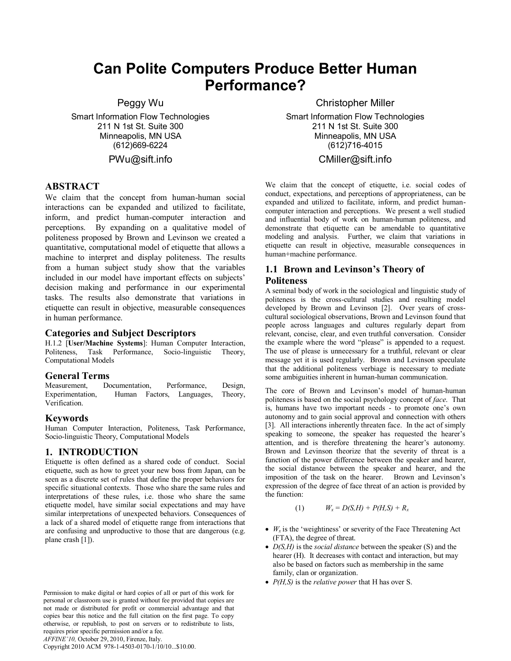# **Can Polite Computers Produce Better Human Performance?**

Peggy Wu

Smart Information Flow Technologies 211 N 1st St. Suite 300 Minneapolis, MN USA (612)669-6224

PWu@sift.info

## **ABSTRACT**

We claim that the concept from human-human social interactions can be expanded and utilized to facilitate, inform, and predict human-computer interaction and perceptions. By expanding on a qualitative model of politeness proposed by Brown and Levinson we created a quantitative, computational model of etiquette that allows a machine to interpret and display politeness. The results from a human subject study show that the variables included in our model have important effects on subjects' decision making and performance in our experimental tasks. The results also demonstrate that variations in etiquette can result in objective, measurable consequences in human performance.

#### **Categories and Subject Descriptors**

H.1.2 [**User/Machine Systems**]: Human Computer Interaction, Politeness, Task Performance, Socio-linguistic Theory, Computational Models

#### **General Terms**

Measurement, Documentation, Performance, Design, Experimentation, Human Factors, Languages, Theory, Verification.

#### **Keywords**

Human Computer Interaction, Politeness, Task Performance, Socio-linguistic Theory, Computational Models

#### **1. INTRODUCTION**

Etiquette is often defined as a shared code of conduct. Social etiquette, such as how to greet your new boss from Japan, can be seen as a discrete set of rules that define the proper behaviors for specific situational contexts. Those who share the same rules and interpretations of these rules, i.e. those who share the same etiquette model, have similar social expectations and may have similar interpretations of unexpected behaviors. Consequences of a lack of a shared model of etiquette range from interactions that are confusing and unproductive to those that are dangerous (e.g. plane crash [1]).

Permission to make digital or hard copies of all or part of this work for personal or classroom use is granted without fee provided that copies are not made or distributed for profit or commercial advantage and that copies bear this notice and the full citation on the first page. To copy otherwise, or republish, to post on servers or to redistribute to lists, requires prior specific permission and/or a fee.

*AFFINE'10,* October 29, 2010, Firenze, Italy.

Copyright 2010 ACM 978-1-4503-0170-1/10/10...\$10.00.

Christopher Miller Smart Information Flow Technologies 211 N 1st St. Suite 300 Minneapolis, MN USA (612)716-4015

## CMiller@sift.info

We claim that the concept of etiquette, i.e. social codes of conduct, expectations, and perceptions of appropriateness, can be expanded and utilized to facilitate, inform, and predict humancomputer interaction and perceptions. We present a well studied and influential body of work on human-human politeness, and demonstrate that etiquette can be amendable to quantitative modeling and analysis. Further, we claim that variations in etiquette can result in objective, measurable consequences in human+machine performance.

## **1.1 Brown and Levinson's Theory of Politeness**

A seminal body of work in the sociological and linguistic study of politeness is the cross-cultural studies and resulting model developed by Brown and Levinson [2]. Over years of crosscultural sociological observations, Brown and Levinson found that people across languages and cultures regularly depart from relevant, concise, clear, and even truthful conversation. Consider the example where the word "please" is appended to a request. The use of please is unnecessary for a truthful, relevant or clear message yet it is used regularly. Brown and Levinson speculate that the additional politeness verbiage is necessary to mediate some ambiguities inherent in human-human communication.

The core of Brown and Levinson's model of human-human politeness is based on the social psychology concept of *face*. That is, humans have two important needs - to promote one's own autonomy and to gain social approval and connection with others [3]. All interactions inherently threaten face. In the act of simply speaking to someone, the speaker has requested the hearer's attention, and is therefore threatening the hearer's autonomy. Brown and Levinson theorize that the severity of threat is a function of the power difference between the speaker and hearer, the social distance between the speaker and hearer, and the imposition of the task on the hearer. Brown and Levinson's expression of the degree of face threat of an action is provided by the function:

$$
(1) \t W_x = D(S,H) + P(H,S) + R_x
$$

- $W<sub>x</sub>$  is the 'weightiness' or severity of the Face Threatening Act (FTA), the degree of threat.
- *D(S,H)* is the *social distance* between the speaker (S) and the hearer (H). It decreases with contact and interaction, but may also be based on factors such as membership in the same family, clan or organization.
- *P(H,S)* is the *relative power* that H has over S.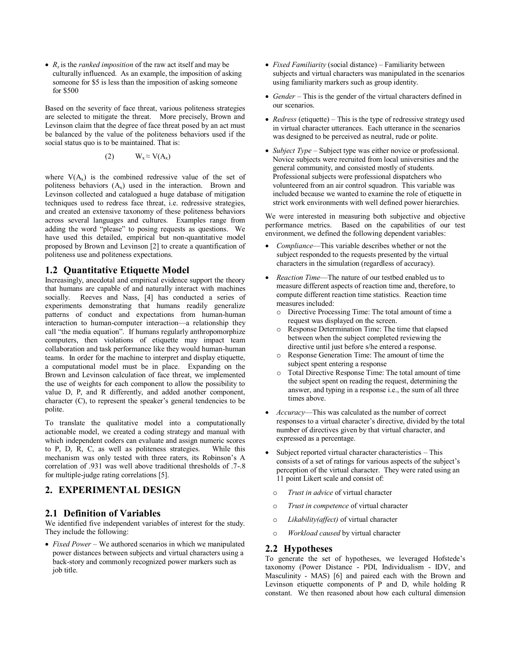*Rx* is the *ranked imposition* of the raw act itself and may be culturally influenced. As an example, the imposition of asking someone for \$5 is less than the imposition of asking someone for \$500

Based on the severity of face threat, various politeness strategies are selected to mitigate the threat. More precisely, Brown and Levinson claim that the degree of face threat posed by an act must be balanced by the value of the politeness behaviors used if the social status quo is to be maintained. That is:

$$
(2) \tW_x \approx V(A_x)
$$

where  $V(A_x)$  is the combined redressive value of the set of politeness behaviors  $(A_x)$  used in the interaction. Brown and Levinson collected and catalogued a huge database of mitigation techniques used to redress face threat, i.e. redressive strategies, and created an extensive taxonomy of these politeness behaviors across several languages and cultures. Examples range from adding the word "please" to posing requests as questions. We have used this detailed, empirical but non-quantitative model proposed by Brown and Levinson [2] to create a quantification of politeness use and politeness expectations.

#### **1.2 Quantitative Etiquette Model**

Increasingly, anecdotal and empirical evidence support the theory that humans are capable of and naturally interact with machines socially. Reeves and Nass, [4] has conducted a series of experiments demonstrating that humans readily generalize patterns of conduct and expectations from human-human interaction to human-computer interaction—a relationship they call "the media equation". If humans regularly anthropomorphize computers, then violations of etiquette may impact team collaboration and task performance like they would human-human teams. In order for the machine to interpret and display etiquette, a computational model must be in place. Expanding on the Brown and Levinson calculation of face threat, we implemented the use of weights for each component to allow the possibility to value D, P, and R differently, and added another component, character (C), to represent the speaker's general tendencies to be polite.

To translate the qualitative model into a computationally actionable model, we created a coding strategy and manual with which independent coders can evaluate and assign numeric scores to P, D, R, C, as well as politeness strategies. While this mechanism was only tested with three raters, its Robinson's A correlation of .931 was well above traditional thresholds of .7-.8 for multiple-judge rating correlations [5].

## **2. EXPERIMENTAL DESIGN**

#### **2.1 Definition of Variables**

We identified five independent variables of interest for the study. They include the following:

 *Fixed Power* – We authored scenarios in which we manipulated power distances between subjects and virtual characters using a back-story and commonly recognized power markers such as job title.

- *Fixed Familiarity* (social distance) Familiarity between subjects and virtual characters was manipulated in the scenarios using familiarity markers such as group identity.
- *Gender* This is the gender of the virtual characters defined in our scenarios.
- *Redress* (etiquette) This is the type of redressive strategy used in virtual character utterances. Each utterance in the scenarios was designed to be perceived as neutral, rude or polite.
- *Subject Type –* Subject type was either novice or professional. Novice subjects were recruited from local universities and the general community, and consisted mostly of students. Professional subjects were professional dispatchers who volunteered from an air control squadron. This variable was included because we wanted to examine the role of etiquette in strict work environments with well defined power hierarchies.

We were interested in measuring both subjective and objective performance metrics. Based on the capabilities of our test environment, we defined the following dependent variables:

- *Compliance*—This variable describes whether or not the subject responded to the requests presented by the virtual characters in the simulation (regardless of accuracy).
- *Reaction Time*—The nature of our testbed enabled us to measure different aspects of reaction time and, therefore, to compute different reaction time statistics. Reaction time measures included:
	- o Directive Processing Time: The total amount of time a request was displayed on the screen.
	- o Response Determination Time: The time that elapsed between when the subject completed reviewing the directive until just before s/he entered a response.
	- o Response Generation Time: The amount of time the subject spent entering a response
	- o Total Directive Response Time: The total amount of time the subject spent on reading the request, determining the answer, and typing in a response i.e., the sum of all three times above.
- *Accuracy*—This was calculated as the number of correct responses to a virtual character's directive, divided by the total number of directives given by that virtual character, and expressed as a percentage.
- Subject reported virtual character characteristics This consists of a set of ratings for various aspects of the subject's perception of the virtual character. They were rated using an 11 point Likert scale and consist of:
	- o *Trust in advice* of virtual character
- o *Trust in competence* of virtual character
- o *Likability(affect)* of virtual character
- o *Workload caused* by virtual character

#### **2.2 Hypotheses**

To generate the set of hypotheses, we leveraged Hofstede's taxonomy (Power Distance - PDI, Individualism - IDV, and Masculinity - MAS) [6] and paired each with the Brown and Levinson etiquette components of P and D, while holding R constant. We then reasoned about how each cultural dimension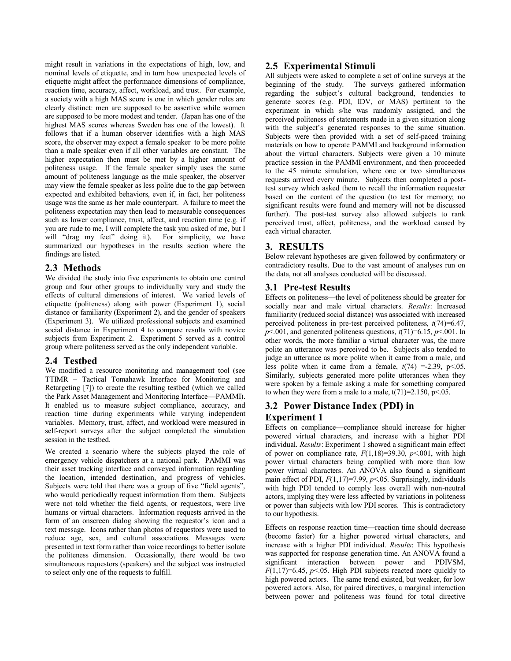might result in variations in the expectations of high, low, and nominal levels of etiquette, and in turn how unexpected levels of etiquette might affect the performance dimensions of compliance, reaction time, accuracy, affect, workload, and trust. For example, a society with a high MAS score is one in which gender roles are clearly distinct: men are supposed to be assertive while women are supposed to be more modest and tender. (Japan has one of the highest MAS scores whereas Sweden has one of the lowest). It follows that if a human observer identifies with a high MAS score, the observer may expect a female speaker to be more polite than a male speaker even if all other variables are constant. The higher expectation then must be met by a higher amount of politeness usage. If the female speaker simply uses the same amount of politeness language as the male speaker, the observer may view the female speaker as less polite due to the gap between expected and exhibited behaviors, even if, in fact, her politeness usage was the same as her male counterpart. A failure to meet the politeness expectation may then lead to measurable consequences such as lower compliance, trust, affect, and reaction time (e.g. if you are rude to me, I will complete the task you asked of me, but I will "drag my feet" doing it). For simplicity, we have summarized our hypotheses in the results section where the findings are listed.

## **2.3 Methods**

We divided the study into five experiments to obtain one control group and four other groups to individually vary and study the effects of cultural dimensions of interest. We varied levels of etiquette (politeness) along with power (Experiment 1), social distance or familiarity (Experiment 2), and the gender of speakers (Experiment 3). We utilized professional subjects and examined social distance in Experiment 4 to compare results with novice subjects from Experiment 2. Experiment 5 served as a control group where politeness served as the only independent variable.

## **2.4 Testbed**

We modified a resource monitoring and management tool (see TTIMR – Tactical Tomahawk Interface for Monitoring and Retargeting [7]) to create the resulting testbed (which we called the Park Asset Management and Monitoring Interface—PAMMI). It enabled us to measure subject compliance, accuracy, and reaction time during experiments while varying independent variables. Memory, trust, affect, and workload were measured in self-report surveys after the subject completed the simulation session in the testbed.

We created a scenario where the subjects played the role of emergency vehicle dispatchers at a national park. PAMMI was their asset tracking interface and conveyed information regarding the location, intended destination, and progress of vehicles. Subjects were told that there was a group of five "field agents", who would periodically request information from them. Subjects were not told whether the field agents, or requestors, were live humans or virtual characters. Information requests arrived in the form of an onscreen dialog showing the requestor's icon and a text message. Icons rather than photos of requestors were used to reduce age, sex, and cultural associations. Messages were presented in text form rather than voice recordings to better isolate the politeness dimension. Occasionally, there would be two simultaneous requestors (speakers) and the subject was instructed to select only one of the requests to fulfill.

## **2.5 Experimental Stimuli**

All subjects were asked to complete a set of online surveys at the beginning of the study. The surveys gathered information regarding the subject's cultural background, tendencies to generate scores (e.g. PDI, IDV, or MAS) pertinent to the experiment in which s/he was randomly assigned, and the perceived politeness of statements made in a given situation along with the subject's generated responses to the same situation. Subjects were then provided with a set of self-paced training materials on how to operate PAMMI and background information about the virtual characters. Subjects were given a 10 minute practice session in the PAMMI environment, and then proceeded to the 45 minute simulation, where one or two simultaneous requests arrived every minute. Subjects then completed a posttest survey which asked them to recall the information requester based on the content of the question (to test for memory; no significant results were found and memory will not be discussed further). The post-test survey also allowed subjects to rank perceived trust, affect, politeness, and the workload caused by each virtual character.

# **3. RESULTS**

Below relevant hypotheses are given followed by confirmatory or contradictory results. Due to the vast amount of analyses run on the data, not all analyses conducted will be discussed.

## **3.1 Pre-test Results**

Effects on politeness—the level of politeness should be greater for socially near and male virtual characters. *Results*: Increased familiarity (reduced social distance) was associated with increased perceived politeness in pre-test perceived politeness, *t*(74)=6.47,  $p$ <.001, and generated politeness questions,  $t(71)=6.15$ ,  $p$ <.001. In other words, the more familiar a virtual character was, the more polite an utterance was perceived to be. Subjects also tended to judge an utterance as more polite when it came from a male, and less polite when it came from a female,  $t(74) = -2.39$ , p<05. Similarly, subjects generated more polite utterances when they were spoken by a female asking a male for something compared to when they were from a male to a male,  $t(71)=2.150$ ,  $p<05$ .

# **3.2 Power Distance Index (PDI) in Experiment 1**

Effects on compliance—compliance should increase for higher powered virtual characters, and increase with a higher PDI individual. *Results*: Experiment 1 showed a significant main effect of power on compliance rate,  $F(1,18)=39.30$ ,  $p<.001$ , with high power virtual characters being complied with more than low power virtual characters. An ANOVA also found a significant main effect of PDI, *F*(1,17)=7.99, *p*<.05. Surprisingly, individuals with high PDI tended to comply less overall with non-neutral actors, implying they were less affected by variations in politeness or power than subjects with low PDI scores. This is contradictory to our hypothesis.

Effects on response reaction time—reaction time should decrease (become faster) for a higher powered virtual characters, and increase with a higher PDI individual. *Results*: This hypothesis was supported for response generation time. An ANOVA found a significant interaction between power and PDIVSM,  $F(1.17)=6.45$ ,  $p<.05$ . High PDI subjects reacted more quickly to high powered actors. The same trend existed, but weaker, for low powered actors. Also, for paired directives, a marginal interaction between power and politeness was found for total directive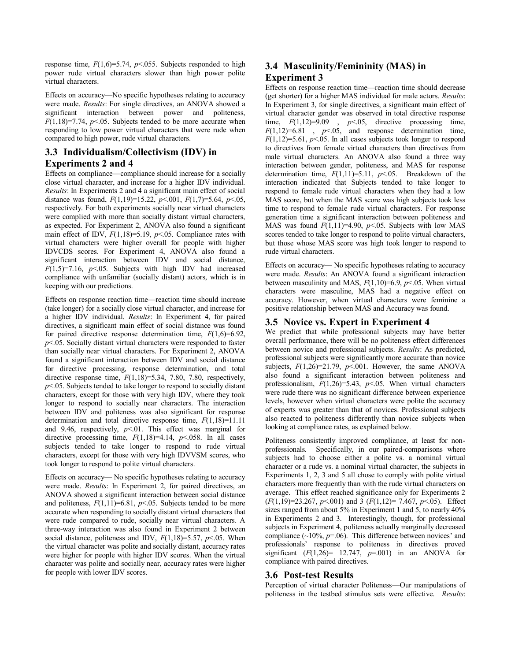response time,  $F(1,6)=5.74$ ,  $p<.055$ . Subjects responded to high power rude virtual characters slower than high power polite virtual characters.

Effects on accuracy—No specific hypotheses relating to accuracy were made. *Results*: For single directives, an ANOVA showed a significant interaction between power and politeness,  $F(1.18)=7.74$ ,  $p<.05$ . Subjects tended to be more accurate when responding to low power virtual characters that were rude when compared to high power, rude virtual characters.

# **3.3 Individualism/Collectivism (IDV) in Experiments 2 and 4**

Effects on compliance—compliance should increase for a socially close virtual character, and increase for a higher IDV individual. *Results*: In Experiments 2 and 4 a significant main effect of social distance was found, *F*(1,19)=15.22, *p*<.001, *F*(1,7)=5.64, *p*<.05, respectively. For both experiments socially near virtual characters were complied with more than socially distant virtual characters, as expected. For Experiment 2, ANOVA also found a significant main effect of IDV, *F*(1,18)=5.19, *p*<.05. Compliance rates with virtual characters were higher overall for people with higher IDVCDS scores. For Experiment 4, ANOVA also found a significant interaction between IDV and social distance,  $F(1,5)=7.16$ ,  $p<.05$ . Subjects with high IDV had increased compliance with unfamiliar (socially distant) actors, which is in keeping with our predictions.

Effects on response reaction time—reaction time should increase (take longer) for a socially close virtual character, and increase for a higher IDV individual. *Results*: In Experiment 4, for paired directives, a significant main effect of social distance was found for paired directive response determination time, *F*(1,6)=6.92, *p*<.05. Socially distant virtual characters were responded to faster than socially near virtual characters. For Experiment 2, ANOVA found a significant interaction between IDV and social distance for directive processing, response determination, and total directive response time, *F*(1,18)=5.34, 7.80, 7.80, respectively, *p*<.05. Subjects tended to take longer to respond to socially distant characters, except for those with very high IDV, where they took longer to respond to socially near characters. The interaction between IDV and politeness was also significant for response determination and total directive response time, *F*(1,18)=11.11 and 9.46, respectively,  $p<01$ . This effect was marginal for directive processing time,  $F(1,18)=4.14$ ,  $p<.058$ . In all cases subjects tended to take longer to respond to rude virtual characters, except for those with very high IDVVSM scores, who took longer to respond to polite virtual characters.

Effects on accuracy— No specific hypotheses relating to accuracy were made. *Results*: In Experiment 2, for paired directives, an ANOVA showed a significant interaction between social distance and politeness,  $F(1,11)=6.81$ ,  $p<.05$ . Subjects tended to be more accurate when responding to socially distant virtual characters that were rude compared to rude, socially near virtual characters. A three-way interaction was also found in Experiment 2 between social distance, politeness and IDV,  $F(1,18)=5.57$ ,  $p<.05$ . When the virtual character was polite and socially distant, accuracy rates were higher for people with higher IDV scores. When the virtual character was polite and socially near, accuracy rates were higher for people with lower IDV scores.

# **3.4 Masculinity/Femininity (MAS) in Experiment 3**

Effects on response reaction time—reaction time should decrease (get shorter) for a higher MAS individual for male actors. *Results*: In Experiment 3, for single directives, a significant main effect of virtual character gender was observed in total directive response time,  $F(1,12)=9.09$ ,  $p<05$ , directive processing time,  $F(1,12)=6.81$ ,  $p<0.05$ , and response determination time,  $F(1,12)=5.61$ ,  $p<.05$ . In all cases subjects took longer to respond to directives from female virtual characters than directives from male virtual characters. An ANOVA also found a three way interaction between gender, politeness, and MAS for response determination time,  $F(1,11)=5.11$ ,  $p<.05$ . Breakdown of the interaction indicated that Subjects tended to take longer to respond to female rude virtual characters when they had a low MAS score, but when the MAS score was high subjects took less time to respond to female rude virtual characters. For response generation time a significant interaction between politeness and MAS was found  $F(1,11)=4.90$ ,  $p<.05$ . Subjects with low MAS scores tended to take longer to respond to polite virtual characters, but those whose MAS score was high took longer to respond to rude virtual characters.

Effects on accuracy— No specific hypotheses relating to accuracy were made. *Results*: An ANOVA found a significant interaction between masculinity and MAS, *F*(1,10)=6.9, *p*<.05. When virtual characters were masculine, MAS had a negative effect on accuracy. However, when virtual characters were feminine a positive relationship between MAS and Accuracy was found.

## **3.5 Novice vs. Expert in Experiment 4**

We predict that while professional subjects may have better overall performance, there will be no politeness effect differences between novice and professional subjects. *Results*: As predicted, professional subjects were significantly more accurate than novice subjects,  $F(1,26)=21.79$ ,  $p<.001$ . However, the same ANOVA also found a significant interaction between politeness and professionalism, *F*(1,26)=5.43, *p*<.05. When virtual characters were rude there was no significant difference between experience levels, however when virtual characters were polite the accuracy of experts was greater than that of novices. Professional subjects also reacted to politeness differently than novice subjects when looking at compliance rates, as explained below.

Politeness consistently improved compliance, at least for nonprofessionals. Specifically, in our paired-comparisons where subjects had to choose either a polite vs. a nominal virtual character or a rude vs. a nominal virtual character, the subjects in Experiments 1, 2, 3 and 5 all chose to comply with polite virtual characters more frequently than with the rude virtual characters on average. This effect reached significance only for Experiments 2 (*F*(1,19)=23.267, *p*<.001) and 3 (*F*(1,12)= 7.467, *p*<.05). Effect sizes ranged from about 5% in Experiment 1 and 5, to nearly 40% in Experiments 2 and 3. Interestingly, though, for professional subjects in Experiment 4, politeness actually marginally decreased compliance (~10%, *p*=.06). This difference between novices' and professionals' response to politeness in directives proved significant  $(F(1,26) = 12.747, p=0.001)$  in an ANOVA for compliance with paired directives.

## **3.6 Post-test Results**

Perception of virtual character Politeness—Our manipulations of politeness in the testbed stimulus sets were effective. *Results*: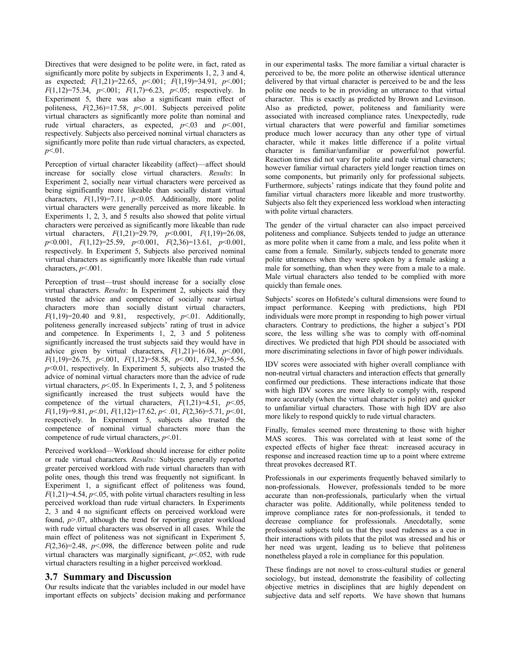Directives that were designed to be polite were, in fact, rated as significantly more polite by subjects in Experiments 1, 2, 3 and 4, as expected; *F*(1,21)=22.65, *p*<.001; *F*(1,19)=34.91, *p*<.001; *F*(1,12)=75.34, *p*<.001; *F*(1,7)=6.23, *p*<.05; respectively. In Experiment 5, there was also a significant main effect of politeness, *F*(2,36)=17.58, *p*<.001. Subjects perceived polite virtual characters as significantly more polite than nominal and rude virtual characters, as expected,  $p<.03$  and  $p<.001$ , respectively. Subjects also perceived nominal virtual characters as significantly more polite than rude virtual characters, as expected, *p*<.01.

Perception of virtual character likeability (affect)—affect should increase for socially close virtual characters. *Results*: In Experiment 2, socially near virtual characters were perceived as being significantly more likeable than socially distant virtual characters,  $F(1,19)=7.11$ ,  $p<0.05$ . Additionally, more polite virtual characters were generally perceived as more likeable. In Experiments 1, 2, 3, and 5 results also showed that polite virtual characters were perceived as significantly more likeable than rude virtual characters, *F*(1,21)=29.79, *p*<0.001, *F*(1,19)=26.08, *p*<0.001, *F*(1,12)=25.59, *p*<0.001, *F*(2,36)=13.61, *p*<0.001, respectively. In Experiment 5, Subjects also perceived nominal virtual characters as significantly more likeable than rude virtual characters, *p*<.001.

Perception of trust—trust should increase for a socially close virtual characters. *Results*: In Experiment 2, subjects said they trusted the advice and competence of socially near virtual characters more than socially distant virtual characters,  $F(1,19)=20.40$  and 9.81, respectively,  $p<01$ . Additionally, politeness generally increased subjects' rating of trust in advice and competence. In Experiments 1, 2, 3 and 5 politeness significantly increased the trust subjects said they would have in advice given by virtual characters,  $F(1,21)=16.04$ ,  $p<.001$ , *F*(1,19)=26.75, *p*<.001, *F*(1,12)=58.58, *p*<.001, *F*(2,36)=5.56, *p*<0.01, respectively. In Experiment 5, subjects also trusted the advice of nominal virtual characters more than the advice of rude virtual characters,  $p<05$ . In Experiments 1, 2, 3, and 5 politeness significantly increased the trust subjects would have the competence of the virtual characters,  $F(1,21)=4.51$ ,  $p<.05$ , *F*(1,19)=9.81, *p*<.01, *F*(1,12)=17.62, *p*< .01, *F*(2,36)=5.71, *p*<.01, respectively. In Experiment 5, subjects also trusted the competence of nominal virtual characters more than the competence of rude virtual characters, *p*<.01.

Perceived workload—Workload should increase for either polite or rude virtual characters. *Results:* Subjects generally reported greater perceived workload with rude virtual characters than with polite ones, though this trend was frequently not significant. In Experiment 1, a significant effect of politeness was found,  $F(1,21)=4.54, p<0.5$ , with polite virtual characters resulting in less perceived workload than rude virtual characters. In Experiments 2, 3 and 4 no significant effects on perceived workload were found, *p*>.07, although the trend for reporting greater workload with rude virtual characters was observed in all cases. While the main effect of politeness was not significant in Experiment 5,  $F(2,36)=2.48$ ,  $p<.098$ , the difference between polite and rude virtual characters was marginally significant, *p*<.052, with rude virtual characters resulting in a higher perceived workload.

#### **3.7 Summary and Discussion**

Our results indicate that the variables included in our model have important effects on subjects' decision making and performance in our experimental tasks. The more familiar a virtual character is perceived to be, the more polite an otherwise identical utterance delivered by that virtual character is perceived to be and the less polite one needs to be in providing an utterance to that virtual character. This is exactly as predicted by Brown and Levinson. Also as predicted, power, politeness and familiarity were associated with increased compliance rates. Unexpectedly, rude virtual characters that were powerful and familiar sometimes produce much lower accuracy than any other type of virtual character, while it makes little difference if a polite virtual character is familiar/unfamiliar or powerful/not powerful. Reaction times did not vary for polite and rude virtual characters; however familiar virtual characters yield longer reaction times on some components, but primarily only for professional subjects. Furthermore, subjects' ratings indicate that they found polite and familiar virtual characters more likeable and more trustworthy. Subjects also felt they experienced less workload when interacting with polite virtual characters.

The gender of the virtual character can also impact perceived politeness and compliance. Subjects tended to judge an utterance as more polite when it came from a male, and less polite when it came from a female. Similarly, subjects tended to generate more polite utterances when they were spoken by a female asking a male for something, than when they were from a male to a male. Male virtual characters also tended to be complied with more quickly than female ones.

Subjects' scores on Hofstede's cultural dimensions were found to impact performance. Keeping with predictions, high PDI individuals were more prompt in responding to high power virtual characters. Contrary to predictions, the higher a subject's PDI score, the less willing s/he was to comply with off-nominal directives. We predicted that high PDI should be associated with more discriminating selections in favor of high power individuals.

IDV scores were associated with higher overall compliance with non-neutral virtual characters and interaction effects that generally confirmed our predictions. These interactions indicate that those with high IDV scores are more likely to comply with, respond more accurately (when the virtual character is polite) and quicker to unfamiliar virtual characters. Those with high IDV are also more likely to respond quickly to rude virtual characters.

Finally, females seemed more threatening to those with higher MAS scores. This was correlated with at least some of the expected effects of higher face threat: increased accuracy in response and increased reaction time up to a point where extreme threat provokes decreased RT.

Professionals in our experiments frequently behaved similarly to non-professionals. However, professionals tended to be more accurate than non-professionals, particularly when the virtual character was polite. Additionally, while politeness tended to improve compliance rates for non-professionals, it tended to decrease compliance for professionals. Anecdotally, some professional subjects told us that they used rudeness as a cue in their interactions with pilots that the pilot was stressed and his or her need was urgent, leading us to believe that politeness nonetheless played a role in compliance for this population.

These findings are not novel to cross-cultural studies or general sociology, but instead, demonstrate the feasibility of collecting objective metrics in disciplines that are highly dependent on subjective data and self reports. We have shown that humans